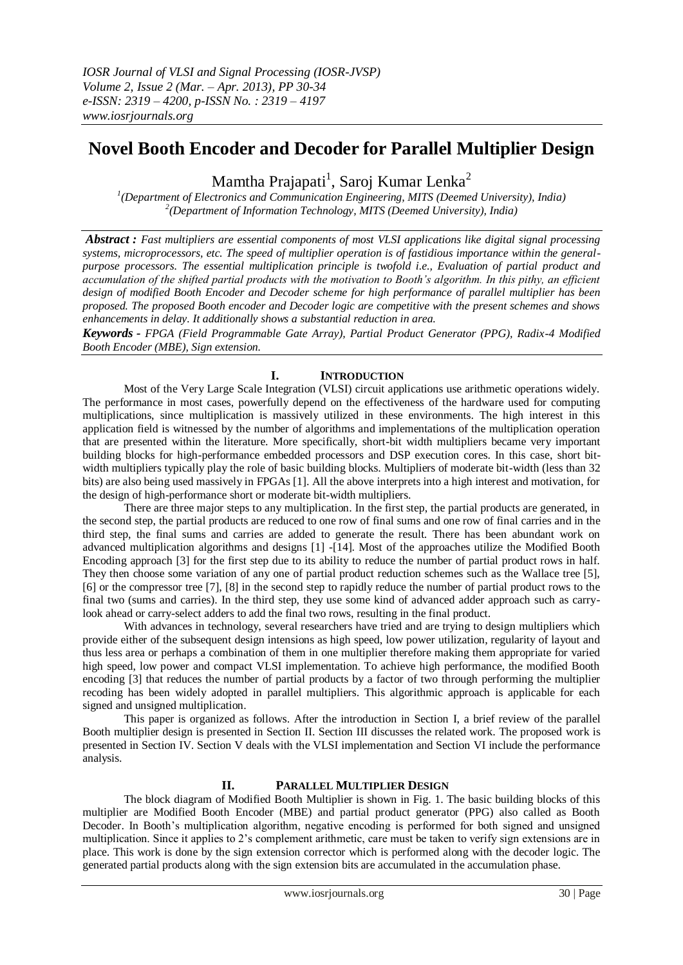# **Novel Booth Encoder and Decoder for Parallel Multiplier Design**

Mamtha Prajapati<sup>1</sup>, Saroj Kumar Lenka<sup>2</sup>

*1 (Department of Electronics and Communication Engineering, MITS (Deemed University), India) 2 (Department of Information Technology, MITS (Deemed University), India)*

*Abstract : Fast multipliers are essential components of most VLSI applications like digital signal processing systems, microprocessors, etc. The speed of multiplier operation is of fastidious importance within the generalpurpose processors. The essential multiplication principle is twofold i.e., Evaluation of partial product and accumulation of the shifted partial products with the motivation to Booth's algorithm. In this pithy, an efficient design of modified Booth Encoder and Decoder scheme for high performance of parallel multiplier has been proposed. The proposed Booth encoder and Decoder logic are competitive with the present schemes and shows enhancements in delay. It additionally shows a substantial reduction in area.*

*Keywords - FPGA (Field Programmable Gate Array), Partial Product Generator (PPG), Radix-4 Modified Booth Encoder (MBE), Sign extension.*

### **I. INTRODUCTION**

Most of the Very Large Scale Integration (VLSI) circuit applications use arithmetic operations widely. The performance in most cases, powerfully depend on the effectiveness of the hardware used for computing multiplications, since multiplication is massively utilized in these environments. The high interest in this application field is witnessed by the number of algorithms and implementations of the multiplication operation that are presented within the literature. More specifically, short-bit width multipliers became very important building blocks for high-performance embedded processors and DSP execution cores. In this case, short bitwidth multipliers typically play the role of basic building blocks. Multipliers of moderate bit-width (less than 32 bits) are also being used massively in FPGAs [1]. All the above interprets into a high interest and motivation, for the design of high-performance short or moderate bit-width multipliers.

There are three major steps to any multiplication. In the first step, the partial products are generated, in the second step, the partial products are reduced to one row of final sums and one row of final carries and in the third step, the final sums and carries are added to generate the result. There has been abundant work on advanced multiplication algorithms and designs [1] -[14]. Most of the approaches utilize the Modified Booth Encoding approach [3] for the first step due to its ability to reduce the number of partial product rows in half. They then choose some variation of any one of partial product reduction schemes such as the Wallace tree [5], [6] or the compressor tree [7], [8] in the second step to rapidly reduce the number of partial product rows to the final two (sums and carries). In the third step, they use some kind of advanced adder approach such as carrylook ahead or carry-select adders to add the final two rows, resulting in the final product.

With advances in technology, several researchers have tried and are trying to design multipliers which provide either of the subsequent design intensions as high speed, low power utilization, regularity of layout and thus less area or perhaps a combination of them in one multiplier therefore making them appropriate for varied high speed, low power and compact VLSI implementation. To achieve high performance, the modified Booth encoding [3] that reduces the number of partial products by a factor of two through performing the multiplier recoding has been widely adopted in parallel multipliers. This algorithmic approach is applicable for each signed and unsigned multiplication.

This paper is organized as follows. After the introduction in Section I, a brief review of the parallel Booth multiplier design is presented in Section II. Section III discusses the related work. The proposed work is presented in Section IV. Section V deals with the VLSI implementation and Section VI include the performance analysis.

### **II. PARALLEL MULTIPLIER DESIGN**

The block diagram of Modified Booth Multiplier is shown in Fig. 1. The basic building blocks of this multiplier are Modified Booth Encoder (MBE) and partial product generator (PPG) also called as Booth Decoder. In Booth's multiplication algorithm, negative encoding is performed for both signed and unsigned multiplication. Since it applies to 2's complement arithmetic, care must be taken to verify sign extensions are in place. This work is done by the sign extension corrector which is performed along with the decoder logic. The generated partial products along with the sign extension bits are accumulated in the accumulation phase.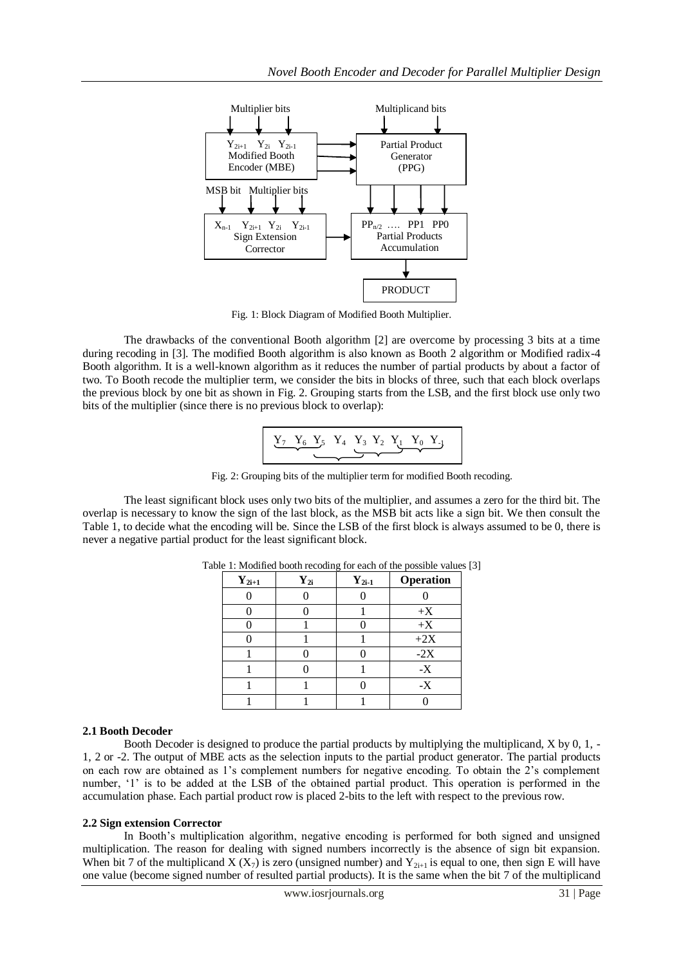

Fig. 1: Block Diagram of Modified Booth Multiplier.

The drawbacks of the conventional Booth algorithm [2] are overcome by processing 3 bits at a time during recoding in [3]. The modified Booth algorithm is also known as Booth 2 algorithm or Modified radix-4 Booth algorithm. It is a well-known algorithm as it reduces the number of partial products by about a factor of two. To Booth recode the multiplier term, we consider the bits in blocks of three, such that each block overlaps the previous block by one bit as shown in Fig. 2. Grouping starts from the LSB, and the first block use only two bits of the multiplier (since there is no previous block to overlap):

$$
\underbrace{Y_7 \quad Y_6 \quad Y_5 \quad Y_4 \quad Y_3 \quad Y_2 \quad Y_1 \quad Y_0 \quad Y_1}_{\bullet}
$$

Fig. 2: Grouping bits of the multiplier term for modified Booth recoding.

The least significant block uses only two bits of the multiplier, and assumes a zero for the third bit. The overlap is necessary to know the sign of the last block, as the MSB bit acts like a sign bit. We then consult the Table 1, to decide what the encoding will be. Since the LSB of the first block is always assumed to be 0, there is never a negative partial product for the least significant block.

| $\mathbf{Y}_{2i+1}$ | $Y_{2i}$ | $Y_{2i-1}$ | Operation |
|---------------------|----------|------------|-----------|
|                     |          |            |           |
|                     |          |            | $+X$      |
|                     |          |            | $+X$      |
|                     |          |            | $+2X$     |
|                     |          |            | $-2X$     |
|                     |          |            | $-X$      |
|                     |          |            | $-X$      |
|                     |          |            |           |

Table 1: Modified booth recoding for each of the possible values [3]

# **2.1 Booth Decoder**

Booth Decoder is designed to produce the partial products by multiplying the multiplicand, X by 0, 1, - 1, 2 or -2. The output of MBE acts as the selection inputs to the partial product generator. The partial products on each row are obtained as 1's complement numbers for negative encoding. To obtain the 2's complement number, '1' is to be added at the LSB of the obtained partial product. This operation is performed in the accumulation phase. Each partial product row is placed 2-bits to the left with respect to the previous row.

# **2.2 Sign extension Corrector**

In Booth's multiplication algorithm, negative encoding is performed for both signed and unsigned multiplication. The reason for dealing with signed numbers incorrectly is the absence of sign bit expansion. When bit 7 of the multiplicand  $X(X_7)$  is zero (unsigned number) and  $Y_{2i+1}$  is equal to one, then sign E will have one value (become signed number of resulted partial products). It is the same when the bit 7 of the multiplicand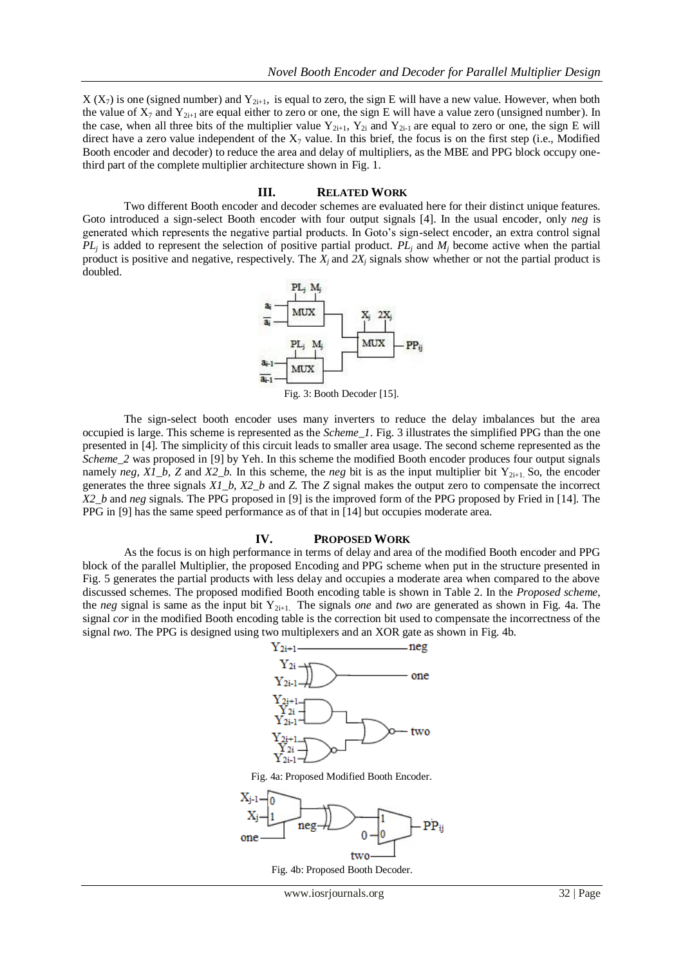$X(X_7)$  is one (signed number) and  $Y_{2i+1}$ , is equal to zero, the sign E will have a new value. However, when both the value of  $X_7$  and  $Y_{2i+1}$  are equal either to zero or one, the sign E will have a value zero (unsigned number). In the case, when all three bits of the multiplier value  $Y_{2i+1}$ ,  $Y_{2i}$  and  $Y_{2i-1}$  are equal to zero or one, the sign E will direct have a zero value independent of the  $X_7$  value. In this brief, the focus is on the first step (i.e., Modified Booth encoder and decoder) to reduce the area and delay of multipliers, as the MBE and PPG block occupy onethird part of the complete multiplier architecture shown in Fig. 1.

#### **III. RELATED WORK**

Two different Booth encoder and decoder schemes are evaluated here for their distinct unique features. Goto introduced a sign-select Booth encoder with four output signals [4]. In the usual encoder, only *neg* is generated which represents the negative partial products. In Goto's sign-select encoder, an extra control signal  $PL_j$  is added to represent the selection of positive partial product.  $PL_j$  and  $M_j$  become active when the partial product is positive and negative, respectively. The  $\hat{X}_i$  and  $\hat{Z}X_i$  signals show whether or not the partial product is doubled.



The sign-select booth encoder uses many inverters to reduce the delay imbalances but the area occupied is large. This scheme is represented as the *Scheme\_1*. Fig. 3 illustrates the simplified PPG than the one presented in [4]. The simplicity of this circuit leads to smaller area usage. The second scheme represented as the *Scheme* 2 was proposed in [9] by Yeh. In this scheme the modified Booth encoder produces four output signals namely *neg, X1\_b, Z* and *X2\_b.* In this scheme, the *neg* bit is as the input multiplier bit Y<sub>2i+1</sub>. So, the encoder generates the three signals *X1\_b, X2\_b* and *Z.* The *Z* signal makes the output zero to compensate the incorrect *X2\_b* and *neg* signals. The PPG proposed in [9] is the improved form of the PPG proposed by Fried in [14]. The PPG in [9] has the same speed performance as of that in [14] but occupies moderate area.

#### **IV. PROPOSED WORK**

As the focus is on high performance in terms of delay and area of the modified Booth encoder and PPG block of the parallel Multiplier, the proposed Encoding and PPG scheme when put in the structure presented in Fig. 5 generates the partial products with less delay and occupies a moderate area when compared to the above discussed schemes. The proposed modified Booth encoding table is shown in Table 2. In the *Proposed scheme*, the *neg* signal is same as the input bit Y<sub>2i+1</sub>. The signals *one* and *two* are generated as shown in Fig. 4a. The signal *cor* in the modified Booth encoding table is the correction bit used to compensate the incorrectness of the signal *two.* The PPG is designed using two multiplexers and an XOR gate as shown in Fig. 4b.



Fig. 4a: Proposed Modified Booth Encoder.



Fig. 4b: Proposed Booth Decoder.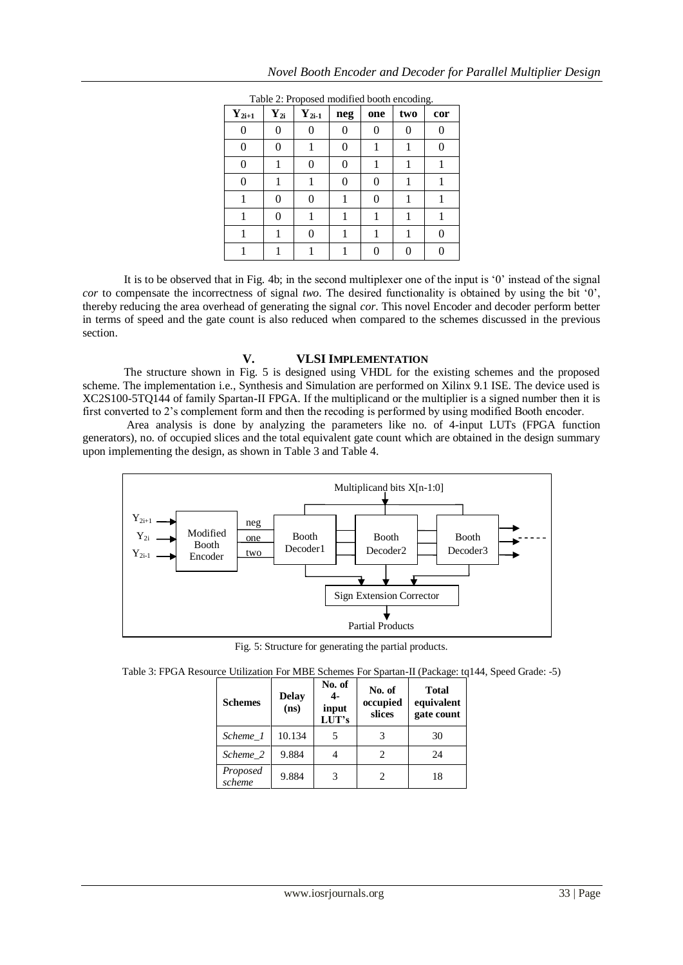| $\mathbf{Y}_{2i+1}$ | $Y_{2i}$ | $Y_{2i-1}$ | neg | one | two | cor |
|---------------------|----------|------------|-----|-----|-----|-----|
|                     | 0        | 0          |     | 0   | 0   |     |
| 0                   |          |            |     |     |     |     |
| 0                   |          | 0          |     |     |     |     |
| 0                   |          |            |     | 0   |     |     |
|                     |          | 0          |     | 0   |     |     |
|                     |          |            |     |     |     |     |
|                     |          |            |     |     |     |     |
|                     |          |            |     |     |     |     |

It is to be observed that in Fig. 4b; in the second multiplexer one of the input is '0' instead of the signal *cor* to compensate the incorrectness of signal *two*. The desired functionality is obtained by using the bit '0', thereby reducing the area overhead of generating the signal *cor*. This novel Encoder and decoder perform better in terms of speed and the gate count is also reduced when compared to the schemes discussed in the previous section.

### Table 2: Proposed modified booth encoding.

### **V. VLSI IMPLEMENTATION**

The structure shown in Fig. 5 is designed using VHDL for the existing schemes and the proposed scheme. The implementation i.e., Synthesis and Simulation are performed on Xilinx 9.1 ISE. The device used is XC2S100-5TQ144 of family Spartan-II FPGA. If the multiplicand or the multiplier is a signed number then it is first converted to 2's complement form and then the recoding is performed by using modified Booth encoder.

Area analysis is done by analyzing the parameters like no. of 4-input LUTs (FPGA function generators), no. of occupied slices and the total equivalent gate count which are obtained in the design summary upon implementing the design, as shown in Table 3 and Table 4.



Fig. 5: Structure for generating the partial products.

Table 3: FPGA Resource Utilization For MBE Schemes For Spartan-II (Package: tq144, Speed Grade: -5)

| <b>Schemes</b>     | <b>Delay</b><br>(ns) | No. of<br>4-<br>input<br>LUT's | No. of<br>occupied<br>slices | <b>Total</b><br>equivalent<br>gate count |
|--------------------|----------------------|--------------------------------|------------------------------|------------------------------------------|
| Scheme 1           | 10.134               |                                |                              | 30                                       |
| Scheme 2           | 9.884                |                                | 2                            | 24                                       |
| Proposed<br>scheme | 9.884                |                                |                              | 18                                       |